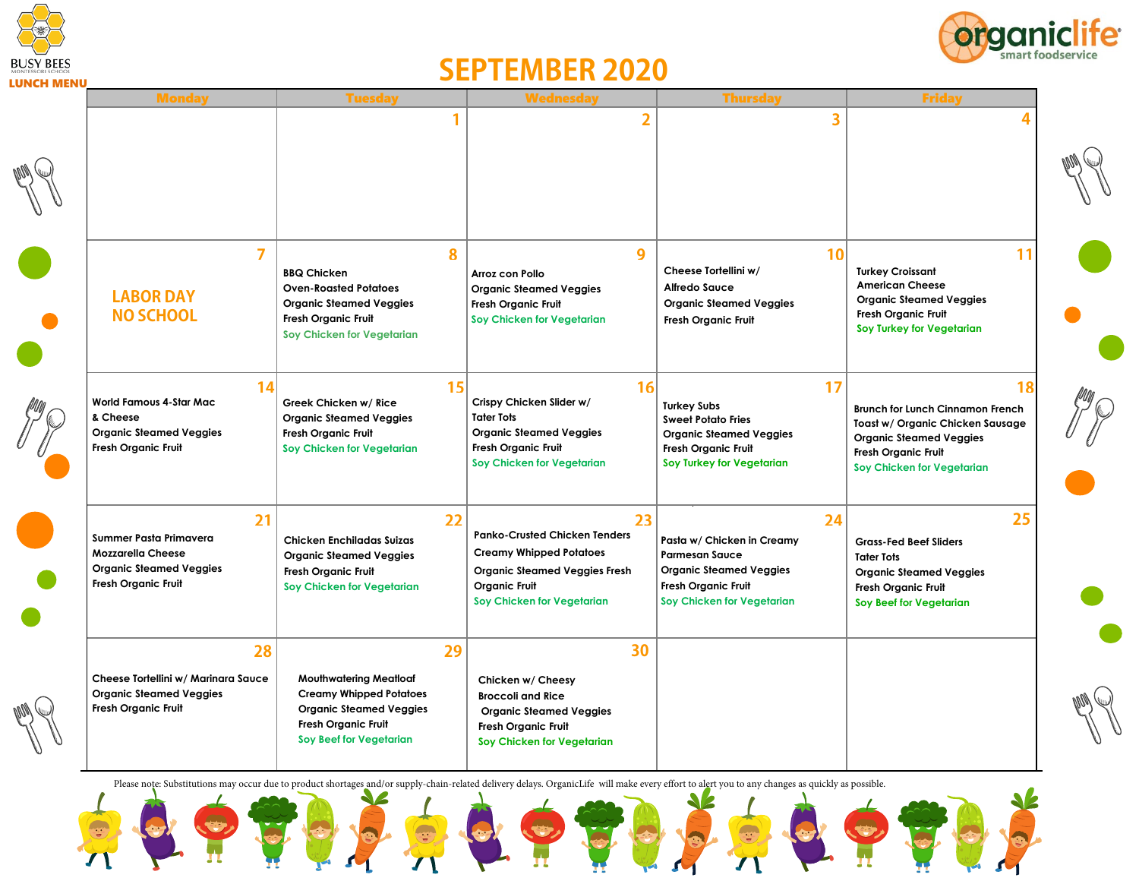



## **SEPTEMBER 2020**

| LUNCH MEN( | <b>Monday</b>                                                                                                     | <b>Tuesday</b>                                                                                                                                                   | <b>Wednesday</b>                                                                                                                                                    | <b>Thursday</b>                                                                                                                                                | <b>Friday</b>                                                                                                                                                            |
|------------|-------------------------------------------------------------------------------------------------------------------|------------------------------------------------------------------------------------------------------------------------------------------------------------------|---------------------------------------------------------------------------------------------------------------------------------------------------------------------|----------------------------------------------------------------------------------------------------------------------------------------------------------------|--------------------------------------------------------------------------------------------------------------------------------------------------------------------------|
|            |                                                                                                                   |                                                                                                                                                                  | $\overline{2}$                                                                                                                                                      |                                                                                                                                                                |                                                                                                                                                                          |
|            |                                                                                                                   |                                                                                                                                                                  |                                                                                                                                                                     |                                                                                                                                                                |                                                                                                                                                                          |
|            | $\overline{ }$<br><b>LABOR DAY</b><br><b>NO SCHOOL</b>                                                            | 8<br><b>BBQ Chicken</b><br><b>Oven-Roasted Potatoes</b><br><b>Organic Steamed Veggies</b><br><b>Fresh Organic Fruit</b><br>Soy Chicken for Vegetarian            | 9<br>Arroz con Pollo<br><b>Organic Steamed Veggies</b><br><b>Fresh Organic Fruit</b><br>Soy Chicken for Vegetarian                                                  | 10 <sup>1</sup><br>Cheese Tortellini w/<br><b>Alfredo Sauce</b><br><b>Organic Steamed Veggies</b><br><b>Fresh Organic Fruit</b>                                | 11<br><b>Turkey Croissant</b><br><b>American Cheese</b><br><b>Organic Steamed Veggies</b><br><b>Fresh Organic Fruit</b><br>Soy Turkey for Vegetarian                     |
|            | 14<br><b>World Famous 4-Star Mac</b><br>& Cheese<br><b>Organic Steamed Veggies</b><br><b>Fresh Organic Fruit</b>  | 15<br>Greek Chicken w/ Rice<br><b>Organic Steamed Veggies</b><br><b>Fresh Organic Fruit</b><br>Soy Chicken for Vegetarian                                        | 16<br>Crispy Chicken Slider w/<br><b>Tater Tots</b><br><b>Organic Steamed Veggies</b><br><b>Fresh Organic Fruit</b><br>Soy Chicken for Vegetarian                   | 17<br><b>Turkey Subs</b><br><b>Sweet Potato Fries</b><br><b>Organic Steamed Veggies</b><br>Fresh Organic Fruit<br>Soy Turkey for Vegetarian                    | 18<br>Brunch for Lunch Cinnamon French<br>Toast w/ Organic Chicken Sausage<br><b>Organic Steamed Veggies</b><br><b>Fresh Organic Fruit</b><br>Soy Chicken for Vegetarian |
|            | 21<br>Summer Pasta Primavera<br><b>Mozzarella Cheese</b><br><b>Organic Steamed Veggies</b><br>Fresh Organic Fruit | 22<br><b>Chicken Enchiladas Suizas</b><br><b>Organic Steamed Veggies</b><br><b>Fresh Organic Fruit</b><br>Soy Chicken for Vegetarian                             | 23<br><b>Panko-Crusted Chicken Tenders</b><br><b>Creamy Whipped Potatoes</b><br>Organic Steamed Veggies Fresh<br><b>Organic Fruit</b><br>Soy Chicken for Vegetarian | 24<br>Pasta w/ Chicken in Creamy<br><b>Parmesan Sauce</b><br><b>Organic Steamed Veggies</b><br><b>Fresh Organic Fruit</b><br><b>Soy Chicken for Vegetarian</b> | 25<br><b>Grass-Fed Beef Sliders</b><br><b>Tater Tots</b><br><b>Organic Steamed Veggies</b><br><b>Fresh Organic Fruit</b><br>Soy Beef for Vegetarian                      |
|            | 28<br>Cheese Tortellini w/ Marinara Sauce<br><b>Organic Steamed Veggies</b><br>Fresh Organic Fruit                | 29<br><b>Mouthwatering Meatloaf</b><br><b>Creamy Whipped Potatoes</b><br><b>Organic Steamed Veggies</b><br><b>Fresh Organic Fruit</b><br>Soy Beef for Vegetarian | 30<br>Chicken w/ Cheesy<br><b>Broccoli and Rice</b><br><b>Organic Steamed Veggies</b><br>Fresh Organic Fruit<br>Soy Chicken for Vegetarian                          |                                                                                                                                                                |                                                                                                                                                                          |

Please note: Substitutions may occur due to product shortages and/or supply-chain-related delivery delays. OrganicLife will make every effort to alert you to any changes as quickly as possible.

 $\blacktriangle$ 

JZ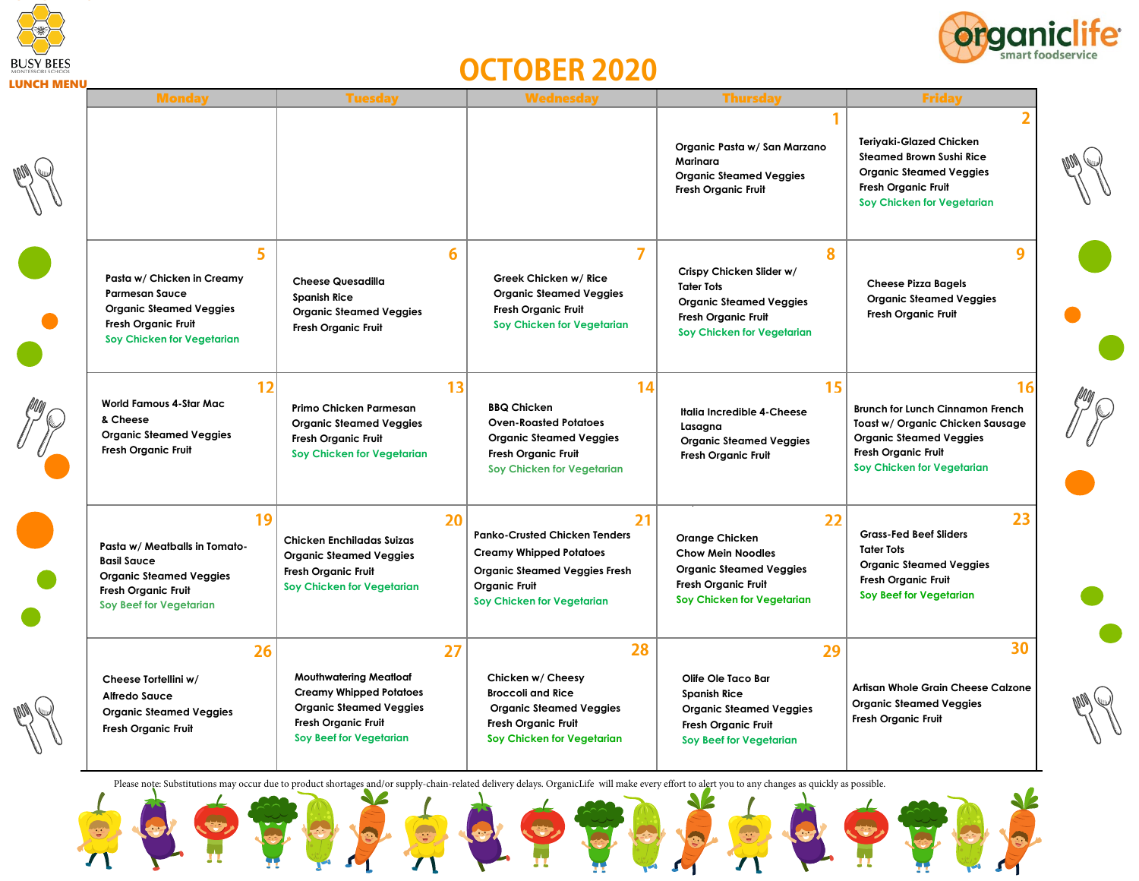



## **OCTOBER 2020**

| LUNLM MEN | <b>Monday</b>                                                                                                                                               | <b>Tuesday</b>                                                                                                                                                   | <b>Wednesday</b>                                                                                                                                                           | <b>Thursday</b>                                                                                                                                       | <b>Friday</b>                                                                                                                                                            |
|-----------|-------------------------------------------------------------------------------------------------------------------------------------------------------------|------------------------------------------------------------------------------------------------------------------------------------------------------------------|----------------------------------------------------------------------------------------------------------------------------------------------------------------------------|-------------------------------------------------------------------------------------------------------------------------------------------------------|--------------------------------------------------------------------------------------------------------------------------------------------------------------------------|
|           |                                                                                                                                                             |                                                                                                                                                                  |                                                                                                                                                                            | Organic Pasta w/ San Marzano<br>Marinara<br><b>Organic Steamed Veggies</b><br><b>Fresh Organic Fruit</b>                                              | 2<br>Teriyaki-Glazed Chicken<br><b>Steamed Brown Sushi Rice</b><br><b>Organic Steamed Veggies</b><br><b>Fresh Organic Fruit</b><br><b>Soy Chicken for Vegetarian</b>     |
|           | 5<br>Pasta w/ Chicken in Creamy<br><b>Parmesan Sauce</b><br><b>Organic Steamed Veggies</b><br>Fresh Organic Fruit<br>Soy Chicken for Vegetarian             | 6<br><b>Cheese Quesadilla</b><br><b>Spanish Rice</b><br><b>Organic Steamed Veggies</b><br><b>Fresh Organic Fruit</b>                                             | $\overline{7}$<br>Greek Chicken w/ Rice<br><b>Organic Steamed Veggies</b><br><b>Fresh Organic Fruit</b><br>Soy Chicken for Vegetarian                                      | 8<br>Crispy Chicken Slider w/<br><b>Tater Tots</b><br><b>Organic Steamed Veggies</b><br><b>Fresh Organic Fruit</b><br>Soy Chicken for Vegetarian      | 9<br><b>Cheese Pizza Bagels</b><br><b>Organic Steamed Veggies</b><br><b>Fresh Organic Fruit</b>                                                                          |
|           | 12<br><b>World Famous 4-Star Mac</b><br>& Cheese<br><b>Organic Steamed Veggies</b><br><b>Fresh Organic Fruit</b>                                            | 13<br>Primo Chicken Parmesan<br><b>Organic Steamed Veggies</b><br><b>Fresh Organic Fruit</b><br>Soy Chicken for Vegetarian                                       | 14<br><b>BBQ Chicken</b><br><b>Oven-Roasted Potatoes</b><br><b>Organic Steamed Veggies</b><br><b>Fresh Organic Fruit</b><br>Soy Chicken for Vegetarian                     | 15<br>Italia Incredible 4-Cheese<br>Lasagna<br><b>Organic Steamed Veggies</b><br><b>Fresh Organic Fruit</b>                                           | 16<br>Brunch for Lunch Cinnamon French<br>Toast w/ Organic Chicken Sausage<br><b>Organic Steamed Veggies</b><br><b>Fresh Organic Fruit</b><br>Soy Chicken for Vegetarian |
|           | 19<br>Pasta w/ Meatballs in Tomato-<br><b>Basil Sauce</b><br><b>Organic Steamed Veggies</b><br><b>Fresh Organic Fruit</b><br><b>Soy Beef for Vegetarian</b> | 20<br><b>Chicken Enchiladas Suizas</b><br><b>Organic Steamed Veggies</b><br><b>Fresh Organic Fruit</b><br>Soy Chicken for Vegetarian                             | 21<br><b>Panko-Crusted Chicken Tenders</b><br><b>Creamy Whipped Potatoes</b><br><b>Organic Steamed Veggies Fresh</b><br><b>Organic Fruit</b><br>Soy Chicken for Vegetarian | 22<br><b>Orange Chicken</b><br><b>Chow Mein Noodles</b><br><b>Organic Steamed Veggies</b><br><b>Fresh Organic Fruit</b><br>Soy Chicken for Vegetarian | 23<br><b>Grass-Fed Beef Sliders</b><br><b>Tater Tots</b><br><b>Organic Steamed Veggies</b><br><b>Fresh Organic Fruit</b><br>Soy Beef for Vegetarian                      |
|           | 26<br>Cheese Tortellini w/<br>Alfredo Sauce<br><b>Organic Steamed Veggies</b><br><b>Fresh Organic Fruit</b>                                                 | 27<br><b>Mouthwatering Meatloaf</b><br><b>Creamy Whipped Potatoes</b><br><b>Organic Steamed Veggies</b><br><b>Fresh Organic Fruit</b><br>Soy Beef for Vegetarian | 28<br>Chicken w/ Cheesy<br><b>Broccoli and Rice</b><br><b>Organic Steamed Veggies</b><br><b>Fresh Organic Fruit</b><br>Soy Chicken for Vegetarian                          | 29<br>Olife Ole Taco Bar<br><b>Spanish Rice</b><br><b>Organic Steamed Veggies</b><br><b>Fresh Organic Fruit</b><br>Soy Beef for Vegetarian            | 30<br>Artisan Whole Grain Cheese Calzone<br><b>Organic Steamed Veggies</b><br><b>Fresh Organic Fruit</b>                                                                 |

Please note: Substitutions may occur due to product shortages and/or supply-chain-related delivery delays. OrganicLife will make every effort to alert you to any changes as quickly as possible.

 $\blacktriangle$